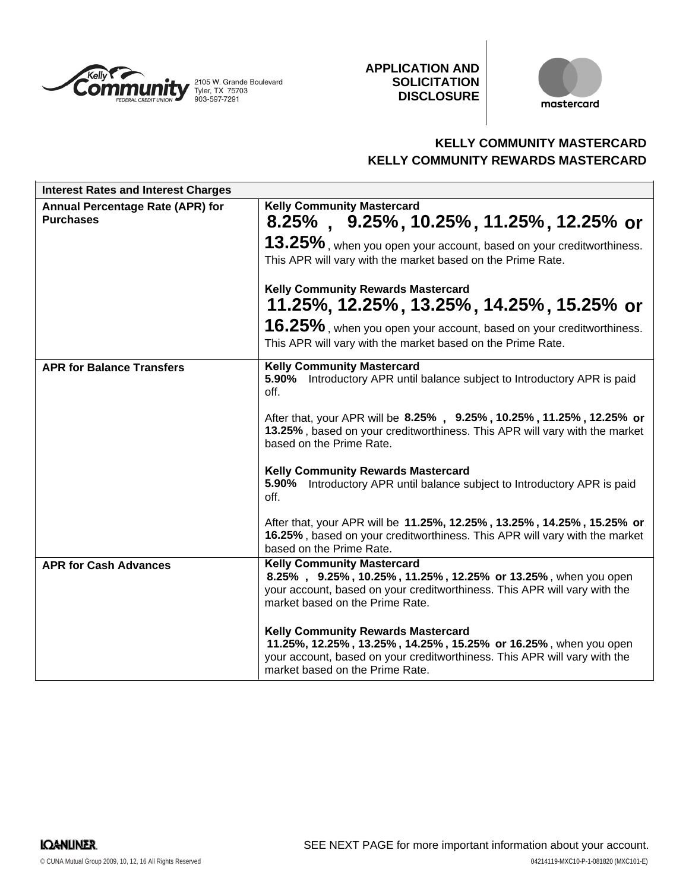

**APPLICATION AND SOLICITATION DISCLOSURE**



# **KELLY COMMUNITY MASTERCARD KELLY COMMUNITY REWARDS MASTERCARD**

| <b>Interest Rates and Interest Charges</b>           |                                                                                                                                                                                                                              |
|------------------------------------------------------|------------------------------------------------------------------------------------------------------------------------------------------------------------------------------------------------------------------------------|
| Annual Percentage Rate (APR) for<br><b>Purchases</b> | <b>Kelly Community Mastercard</b><br>$8.25\%$ , $9.25\%$ , 10.25%, 11.25%, 12.25% or                                                                                                                                         |
|                                                      | 13.25%, when you open your account, based on your creditworthiness.<br>This APR will vary with the market based on the Prime Rate.                                                                                           |
|                                                      | <b>Kelly Community Rewards Mastercard</b><br>11.25%, 12.25%, 13.25%, 14.25%, 15.25% or                                                                                                                                       |
|                                                      | 16.25%, when you open your account, based on your creditworthiness.<br>This APR will vary with the market based on the Prime Rate.                                                                                           |
| <b>APR for Balance Transfers</b>                     | <b>Kelly Community Mastercard</b><br>5.90% Introductory APR until balance subject to Introductory APR is paid<br>off.                                                                                                        |
|                                                      | After that, your APR will be 8.25%, 9.25%, 10.25%, 11.25%, 12.25% or<br>13.25%, based on your creditworthiness. This APR will vary with the market<br>based on the Prime Rate.                                               |
|                                                      | <b>Kelly Community Rewards Mastercard</b><br>5.90% Introductory APR until balance subject to Introductory APR is paid<br>off.                                                                                                |
|                                                      | After that, your APR will be 11.25%, 12.25%, 13.25%, 14.25%, 15.25% or<br>16.25%, based on your creditworthiness. This APR will vary with the market<br>based on the Prime Rate.                                             |
| <b>APR for Cash Advances</b>                         | <b>Kelly Community Mastercard</b><br>8.25%, 9.25%, 10.25%, 11.25%, 12.25% or 13.25%, when you open<br>your account, based on your creditworthiness. This APR will vary with the<br>market based on the Prime Rate.           |
|                                                      | <b>Kelly Community Rewards Mastercard</b><br>11.25%, 12.25%, 13.25%, 14.25%, 15.25% or 16.25%, when you open<br>your account, based on your creditworthiness. This APR will vary with the<br>market based on the Prime Rate. |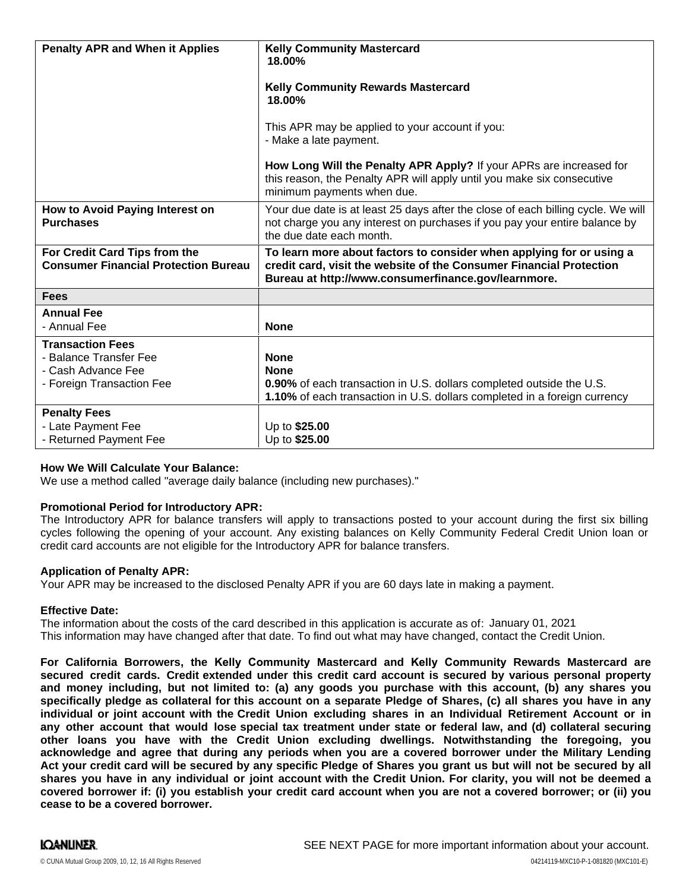| <b>Penalty APR and When it Applies</b>                                                               | <b>Kelly Community Mastercard</b><br>18.00%<br><b>Kelly Community Rewards Mastercard</b><br>18.00%<br>This APR may be applied to your account if you:<br>- Make a late payment.<br>How Long Will the Penalty APR Apply? If your APRs are increased for<br>this reason, the Penalty APR will apply until you make six consecutive<br>minimum payments when due. |
|------------------------------------------------------------------------------------------------------|----------------------------------------------------------------------------------------------------------------------------------------------------------------------------------------------------------------------------------------------------------------------------------------------------------------------------------------------------------------|
| How to Avoid Paying Interest on<br><b>Purchases</b>                                                  | Your due date is at least 25 days after the close of each billing cycle. We will<br>not charge you any interest on purchases if you pay your entire balance by<br>the due date each month.                                                                                                                                                                     |
| For Credit Card Tips from the<br><b>Consumer Financial Protection Bureau</b>                         | To learn more about factors to consider when applying for or using a<br>credit card, visit the website of the Consumer Financial Protection<br>Bureau at http://www.consumerfinance.gov/learnmore.                                                                                                                                                             |
| <b>Fees</b>                                                                                          |                                                                                                                                                                                                                                                                                                                                                                |
| <b>Annual Fee</b><br>- Annual Fee                                                                    | <b>None</b>                                                                                                                                                                                                                                                                                                                                                    |
| <b>Transaction Fees</b><br>- Balance Transfer Fee<br>- Cash Advance Fee<br>- Foreign Transaction Fee | <b>None</b><br><b>None</b><br>0.90% of each transaction in U.S. dollars completed outside the U.S.<br>1.10% of each transaction in U.S. dollars completed in a foreign currency                                                                                                                                                                                |
| <b>Penalty Fees</b><br>- Late Payment Fee<br>- Returned Payment Fee                                  | Up to \$25.00<br>Up to \$25.00                                                                                                                                                                                                                                                                                                                                 |

### **How We Will Calculate Your Balance:**

We use a method called "average daily balance (including new purchases)."

### **Promotional Period for Introductory APR:**

The Introductory APR for balance transfers will apply to transactions posted to your account during the first six billing cycles following the opening of your account. Any existing balances on Kelly Community Federal Credit Union loan or credit card accounts are not eligible for the Introductory APR for balance transfers.

### **Application of Penalty APR:**

Your APR may be increased to the disclosed Penalty APR if you are 60 days late in making a payment.

### **Effective Date:**

The information about the costs of the card described in this application is accurate as of: January 01, 2021This information may have changed after that date. To find out what may have changed, contact the Credit Union.

**For California Borrowers, the Kelly Community Mastercard and Kelly Community Rewards Mastercard are secured credit cards. Credit extended under this credit card account is secured by various personal property** and money including, but not limited to: (a) any goods you purchase with this account, (b) any shares you specifically pledge as collateral for this account on a separate Pledge of Shares, (c) all shares you have in any individual or joint account with the Credit Union excluding shares in an Individual Retirement Account or in any other account that would lose special tax treatment under state or federal law, and (d) collateral securing **other loans you have with the Credit Union excluding dwellings. Notwithstanding the foregoing, you acknowledge and agree that during any periods when you are a covered borrower under the Military Lending** Act your credit card will be secured by any specific Pledge of Shares you grant us but will not be secured by all shares you have in any individual or joint account with the Credit Union. For clarity, you will not be deemed a **covered borrower if: (i) you establish your credit card account when you are not a covered borrower; or (ii) you cease to be a covered borrower.**